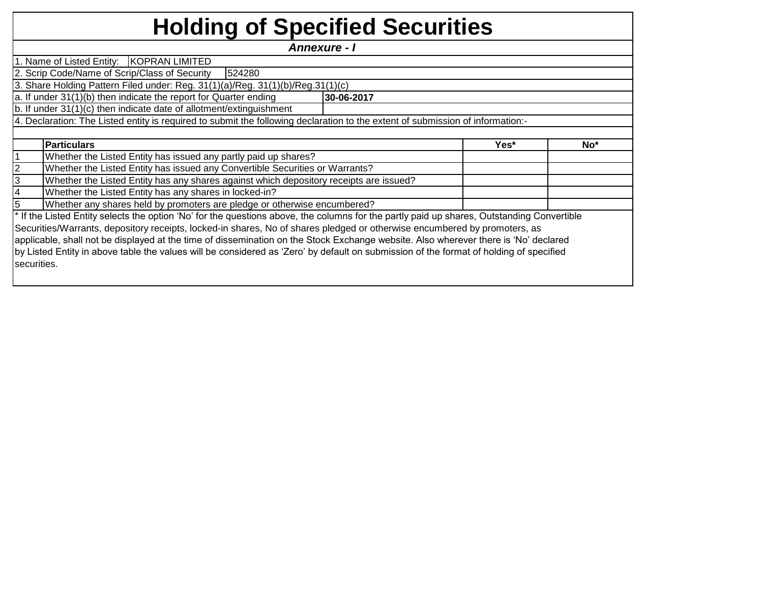## **Holding of Specified Securities**

**Yes\* No\*** 1 2 3 4 5 4. Declaration: The Listed entity is required to submit the following declaration to the extent of submission of information:- *Annexure - I*  1. Name of Listed Entity: KOPRAN LIMITED 2. Scrip Code/Name of Scrip/Class of Security | 524280 3. Share Holding Pattern Filed under: Reg. 31(1)(a)/Reg. 31(1)(b)/Reg.31(1)(c) a. If under 31(1)(b) then indicate the report for Quarter ending **30-06-2017** b. If under 31(1)(c) then indicate date of allotment/extinguishment Whether any shares held by promoters are pledge or otherwise encumbered? **Particulars** Whether the Listed Entity has issued any partly paid up shares? Whether the Listed Entity has issued any Convertible Securities or Warrants? Whether the Listed Entity has any shares against which depository receipts are issued? Whether the Listed Entity has any shares in locked-in?

\* If the Listed Entity selects the option 'No' for the questions above, the columns for the partly paid up shares, Outstanding Convertible Securities/Warrants, depository receipts, locked-in shares, No of shares pledged or otherwise encumbered by promoters, as applicable, shall not be displayed at the time of dissemination on the Stock Exchange website. Also wherever there is 'No' declared by Listed Entity in above table the values will be considered as 'Zero' by default on submission of the format of holding of specified securities.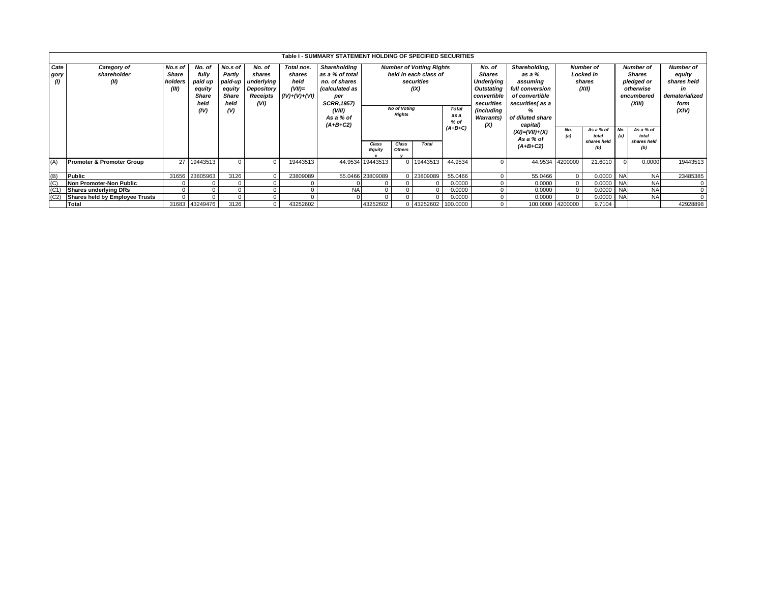|                     |                                      |          |                |         |            |                 | Table I - SUMMARY STATEMENT HOLDING OF SPECIFIED SECURITIES |                     |                        |                                 |              |                      |                  |                  |                      |                  |                      |                  |
|---------------------|--------------------------------------|----------|----------------|---------|------------|-----------------|-------------------------------------------------------------|---------------------|------------------------|---------------------------------|--------------|----------------------|------------------|------------------|----------------------|------------------|----------------------|------------------|
| Cate                | Category of                          | No.s of  | No. of         | No.s of | No. of     | Total nos.      | Shareholding                                                |                     |                        | <b>Number of Votting Rights</b> |              | No. of               | Shareholding,    |                  | <b>Number of</b>     | <b>Number of</b> |                      | <b>Number of</b> |
| gory                | shareholder                          | Share    | fully          | Partly  | shares     | shares          | as a % of total                                             |                     | held in each class of  |                                 |              | <b>Shares</b>        | as a %           | Locked in        |                      | Shares           |                      | equity           |
| $\langle I \rangle$ | (II)                                 | holders  | paid up        | paid-up | underlying | held            | no. of shares                                               |                     |                        | securities                      |              | Underlying           | assuming         | shares           |                      | pledged or       |                      | shares held      |
|                     |                                      | (III)    | equity         | equity  | Depository | $(VII)=$        | <i>(calculated as</i>                                       |                     |                        | (IX)                            |              | Outstating           | full conversion  | (XII)            |                      | otherwise        |                      | in               |
|                     |                                      |          | <b>Share</b>   | Share   | Receipts   | $(IV)+(V)+(VI)$ | per                                                         |                     |                        |                                 |              | convertible          | of convertible   |                  |                      | encumbered       |                      | dematerialized   |
|                     |                                      |          | held           | held    | (VI)       |                 | <b>SCRR, 1957)</b>                                          |                     |                        |                                 |              | securities           | securities(as a  |                  |                      | (XIII)           |                      | form             |
|                     |                                      |          | (IV)           | (V)     |            |                 | (VIII)                                                      | <b>No of Voting</b> |                        |                                 | <b>Total</b> | (including<br>%      |                  |                  |                      |                  |                      | (XIV)            |
|                     |                                      |          |                |         |            |                 | As a % of                                                   | <b>Rights</b>       |                        |                                 | as a         | <b>Warrants</b> )    | of diluted share |                  |                      |                  |                      |                  |
|                     |                                      |          |                |         |            |                 | $(A+B+C2)$                                                  |                     |                        |                                 | $%$ of       | (X)                  | capital)         |                  |                      |                  |                      |                  |
|                     |                                      |          |                |         |            |                 |                                                             |                     |                        | $(A+B+C)$                       |              | $(XI) = (VII) + (X)$ | No.              | As a % of        | No.                  | As a % of        |                      |                  |
|                     |                                      |          |                |         |            |                 |                                                             |                     |                        |                                 |              |                      | As a % of        | (a)              | total<br>shares held | (a)              | total<br>shares held |                  |
|                     |                                      |          |                |         |            |                 |                                                             | Class               | Class<br><b>Others</b> | Total                           |              |                      | $(A+B+C2)$       |                  | (b)                  |                  | (b)                  |                  |
|                     |                                      |          |                |         |            |                 |                                                             | <b>Equity</b>       |                        |                                 |              |                      |                  |                  |                      |                  |                      |                  |
| (A)                 | <b>Promoter &amp; Promoter Group</b> |          | 27 19443513    |         |            | 19443513        |                                                             | 44.9534 19443513    |                        | 19443513                        | 44.9534      | $\Omega$             | 44.9534          | 4200000          | 21.6010              |                  | 0.0000               | 19443513         |
|                     |                                      |          |                |         |            |                 |                                                             |                     |                        |                                 |              |                      |                  |                  |                      |                  |                      |                  |
| (B)                 | Public                               |          | 31656 23805963 | 3126    |            | 23809089        |                                                             | 55.0466 23809089    |                        | 0 23809089                      | 55.0466      | $\Omega$             | 55.0466          | $\Omega$         | 0.0000               | <b>NA</b>        | <b>NA</b>            | 23485385         |
| (C)                 | Non Promoter-Non Public              |          |                |         |            |                 |                                                             |                     |                        |                                 | 0.0000       | $\Omega$             | 0.0000           | $\Omega$         | 0.0000 NA            |                  | <b>NA</b>            | $\Omega$         |
| (C <sub>1</sub> )   | <b>Shares underlying DRs</b>         |          |                |         |            |                 | <b>NA</b>                                                   | $\Omega$            |                        |                                 | 0.0000       | $\Omega$             | 0.0000           | $\mathbf{0}$     | 0.0000               | <b>NA</b>        | <b>NA</b>            | $\mathbf{0}$     |
| (C2)                | Shares held by Employee Trusts       | $\Omega$ |                |         |            |                 |                                                             | $\Omega$            |                        |                                 | 0.0000       |                      | 0.0000           |                  | 0.0000               | <b>NA</b>        | <b>NA</b>            | $\Omega$         |
|                     | Total                                |          | 31683 43249476 | 3126    |            | 43252602        |                                                             | 43252602            |                        | 0 43252602 100.0000             |              | $\mathbf{0}$         |                  | 100.0000 4200000 | 9.7104               |                  |                      | 42928898         |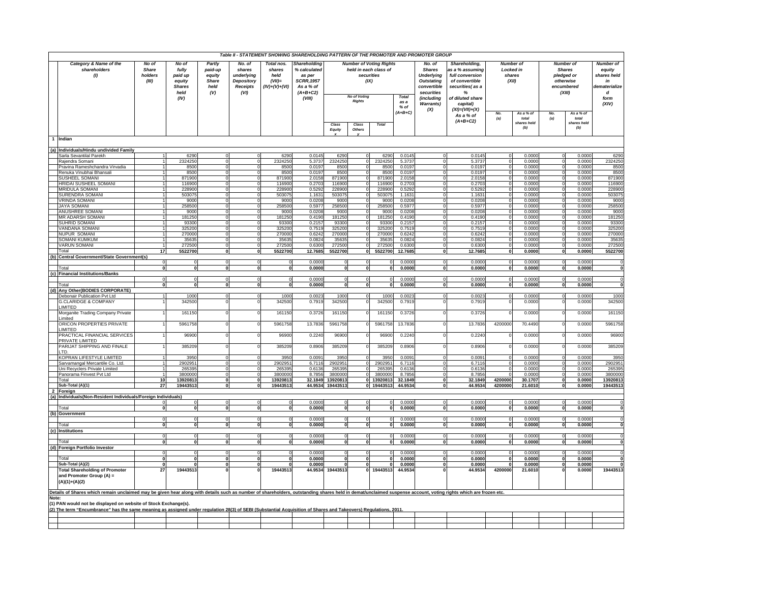|                                               | Table II - STATEMENT SHOWING SHAREHOLDING PATTERN OF THE PROMOTER AND PROMOTER GROUP<br><b>Number of Voting Rights</b><br>No of<br>No of<br>Partly<br>No. of<br>Total nos.<br>No. of<br><b>Number</b> of<br><b>Number of</b>       |                                  |                                                             |                                                  |                                                                      |                                               |                                                                                                  |                             |                                                                    |                                             |                  |                                                                                                    |                                                                                                                   |                              |                             |                                       |                             |                                                                        |
|-----------------------------------------------|------------------------------------------------------------------------------------------------------------------------------------------------------------------------------------------------------------------------------------|----------------------------------|-------------------------------------------------------------|--------------------------------------------------|----------------------------------------------------------------------|-----------------------------------------------|--------------------------------------------------------------------------------------------------|-----------------------------|--------------------------------------------------------------------|---------------------------------------------|------------------|----------------------------------------------------------------------------------------------------|-------------------------------------------------------------------------------------------------------------------|------------------------------|-----------------------------|---------------------------------------|-----------------------------|------------------------------------------------------------------------|
| Category & Name of the<br>shareholders<br>(1) |                                                                                                                                                                                                                                    | <b>Share</b><br>holders<br>(III) | fully<br>paid up<br>equity<br><b>Shares</b><br>held<br>(IV) | paid-up<br>equity<br><b>Share</b><br>held<br>(V) | shares<br>underlying<br><b>Depository</b><br><b>Receipts</b><br>(VI) | shares<br>held<br>$(VII)=$<br>$(IV)+(V)+(VI)$ | Shareholding<br>% calculated<br>as per<br><b>SCRR, 1957</b><br>As a % of<br>$(A+B+C2)$<br>(VIII) |                             | held in each class of<br>securities<br>(IX)<br><b>No of Voting</b> |                                             | Total            | <b>Shares</b><br><b>Underlying</b><br><b>Outstating</b><br>convertible<br>securities<br>(including | Shareholding,<br>as a % assuming<br>full conversion<br>of convertible<br>securities(as a<br>%<br>of diluted share | Locked in<br>shares<br>(XII) |                             | pledged or<br>otherwise<br>encumbered | <b>Shares</b><br>(XIII)     | Number of<br>eauitv<br>shares held<br>in<br>dematerialize<br>d<br>form |
|                                               |                                                                                                                                                                                                                                    |                                  |                                                             |                                                  |                                                                      | <b>Rights</b>                                 |                                                                                                  | as a<br>$%$ of<br>$(A+B+C)$ | <b>Warrants)</b><br>(X)                                            | capital)<br>$(XI) = (VII)+(X)$<br>As a % of | No.              | As a % of                                                                                          | No                                                                                                                | As a % of                    | (XIV)                       |                                       |                             |                                                                        |
|                                               |                                                                                                                                                                                                                                    |                                  |                                                             |                                                  |                                                                      |                                               |                                                                                                  | Class<br>Equity             | Class<br>Others                                                    | <b>Total</b>                                |                  |                                                                                                    | $(A+B+C2)$                                                                                                        | (a)                          | total<br>shares held<br>(b) | (a)                                   | total<br>shares held<br>(b) |                                                                        |
|                                               | 1 Indian                                                                                                                                                                                                                           |                                  |                                                             |                                                  |                                                                      |                                               |                                                                                                  |                             |                                                                    |                                             |                  |                                                                                                    |                                                                                                                   |                              |                             |                                       |                             |                                                                        |
|                                               | (a) Individuals/Hindu undivided Family                                                                                                                                                                                             |                                  |                                                             |                                                  |                                                                      |                                               |                                                                                                  |                             |                                                                    |                                             |                  |                                                                                                    |                                                                                                                   |                              |                             |                                       |                             |                                                                        |
|                                               | Sarla Sevantilal Parekh                                                                                                                                                                                                            |                                  | 6290                                                        | $\Omega$                                         | $\Omega$<br>$\Omega$                                                 | 6290                                          | 0.0145                                                                                           | 6290                        | $\Omega$                                                           | 6290                                        | 0.0145           | $\Omega$                                                                                           | 0.0145                                                                                                            |                              | 0.0000                      | $\Omega$                              | 0.0000                      | 6290                                                                   |
|                                               | Rajendra Somani<br>Pravina Rameshchandra Virvadia                                                                                                                                                                                  |                                  | 2324250<br>8500                                             | $\mathbf 0$<br>$\Omega$                          | $\Omega$                                                             | 2324250<br>8500                               | 5.3737<br>0.0197                                                                                 | 2324250<br>8500             | $\Omega$                                                           | 232425<br>8500                              | 5.373<br>0.0197  | $\Omega$                                                                                           | 5.3737<br>0.0197                                                                                                  |                              | 0.0000<br>0.0000            |                                       | 0.0000<br>0.0000            | 2324250<br>8500                                                        |
|                                               | Renuka Vinubhai Bhansali                                                                                                                                                                                                           |                                  | 8500                                                        | $\mathbf 0$                                      |                                                                      | 8500                                          | 0.0197                                                                                           | 8500                        |                                                                    | 8500                                        | 0.0197           |                                                                                                    | 0.0197                                                                                                            |                              | 0.0000                      |                                       | 0.0000                      | 8500                                                                   |
|                                               | SUSHEEL SOMANI                                                                                                                                                                                                                     |                                  | 871900<br>116900                                            | $\Omega$                                         |                                                                      | 871900                                        | 2.015                                                                                            | 871900<br>116900            | $\Omega$                                                           | 87190<br>11690                              | 2.0158           |                                                                                                    | 2.0151<br>0.270                                                                                                   |                              | 0.000                       |                                       | 0.0000<br>0.0000            | 871900<br>116900                                                       |
|                                               | HRIDAI SUSHEEL SOMANI<br><b>MRIDULA SOMANI</b>                                                                                                                                                                                     |                                  | 228900                                                      |                                                  |                                                                      | 116900<br>228900                              | 0.2703<br>0.529                                                                                  | 228900                      |                                                                    | 22890                                       | 0.270<br>0.529   |                                                                                                    | 0.529                                                                                                             |                              | 0.0000<br>0.000             |                                       | 0.0000                      | 228900                                                                 |
|                                               | SURENDRA SOMANI                                                                                                                                                                                                                    |                                  | 50307                                                       |                                                  |                                                                      | 503075                                        | 1.1631                                                                                           | 503075                      |                                                                    | 50307                                       | 1.163            |                                                                                                    | 1.1631                                                                                                            |                              | 0.000                       |                                       | 0.0000                      | 50307                                                                  |
|                                               | VRINDA SOMANI                                                                                                                                                                                                                      |                                  | 9000                                                        |                                                  |                                                                      | 9000                                          | 0.0208                                                                                           | 9000                        |                                                                    | 900                                         | 0.020            |                                                                                                    | 0.020                                                                                                             |                              | 0.000                       |                                       | 0.0000                      | 9000                                                                   |
|                                               | <b>JAYA SOMANI</b><br>ANUSHREE SOMANI                                                                                                                                                                                              |                                  | 258500<br>9000                                              |                                                  |                                                                      | 258500<br>9000                                | 0.597<br>0.020                                                                                   | 25850<br>9000               |                                                                    | 25850<br>900                                | 0.597<br>0.020   |                                                                                                    | 0.597<br>0.020                                                                                                    |                              | 0.000<br>0.000              |                                       | 0.000<br>0.000              | 258500<br>9000                                                         |
|                                               | MR ADARSH SOMANI                                                                                                                                                                                                                   |                                  | 181250                                                      |                                                  |                                                                      | 181250                                        | 0.4190                                                                                           | 181250                      |                                                                    | 18125                                       | 0.419            |                                                                                                    | 0.4190                                                                                                            |                              | 0.000                       |                                       | 0.0000                      | 181250                                                                 |
|                                               | SUHRID SOMANI                                                                                                                                                                                                                      |                                  | 93300                                                       |                                                  |                                                                      | 93300                                         | 0.2157                                                                                           | 93300                       |                                                                    | 9330                                        | 0.215            |                                                                                                    | 0.2157                                                                                                            |                              | 0.000                       |                                       | 0.0000                      | 93300                                                                  |
|                                               | <b>/ANDANA SOMANI</b><br>NUPUR SOMANI                                                                                                                                                                                              |                                  | 325200<br>270000                                            |                                                  |                                                                      | 325200<br>270000                              | 0.751<br>0.6242                                                                                  | 325200<br>270000            |                                                                    | 32520<br>27000                              | 0.751<br>0.624   |                                                                                                    | 0.751<br>0.624                                                                                                    |                              | 0.000<br>0.000              |                                       | 0.000<br>0.0000             | 325200<br>270000                                                       |
|                                               | SOMANI KUMKUM                                                                                                                                                                                                                      |                                  | 35635                                                       |                                                  |                                                                      | 35635                                         | 0.0824                                                                                           | 3563                        |                                                                    | 3563                                        | 0.0824           |                                                                                                    | 0.0824                                                                                                            |                              | 0.000(                      |                                       | 0.0000                      | 35635                                                                  |
|                                               | VARUN SOMANI                                                                                                                                                                                                                       |                                  | 272500                                                      |                                                  |                                                                      | 272500                                        | 0.6300                                                                                           | 272500                      |                                                                    | 27250                                       | 0.6300           |                                                                                                    | 0.6300                                                                                                            |                              | 0.000                       |                                       | 0.0000                      | 272500                                                                 |
|                                               | Total                                                                                                                                                                                                                              | 17                               | 5522700                                                     |                                                  |                                                                      | 5522700                                       | 12.7685                                                                                          | 5522700                     | 01                                                                 | 5522700                                     | 12.7685          | $\Omega$                                                                                           | 12.7685                                                                                                           |                              | 0.0000                      | $\Omega$                              | 0.0000                      | 5522700                                                                |
|                                               | (b) Central Government/State Government(s)                                                                                                                                                                                         |                                  |                                                             |                                                  |                                                                      | $\Omega$                                      | 0.0000                                                                                           | $\Omega$                    |                                                                    |                                             | 0.0000           |                                                                                                    | 0.0000                                                                                                            |                              | 0.0000                      |                                       | 0.0000                      |                                                                        |
|                                               | Total                                                                                                                                                                                                                              | $\bf{0}$                         | $\mathbf 0$                                                 | $\mathbf{0}$                                     | $\mathbf 0$                                                          | $\mathbf 0$                                   | 0.0000                                                                                           | $\mathbf{0}$                | $\mathbf 0$                                                        | $\mathbf{0}$                                | 0.0000           | $\mathbf 0$                                                                                        | 0.0000                                                                                                            | $\mathbf{0}$                 | 0.0000                      | $\mathbf 0$                           | 0.0000                      | $\mathbf 0$                                                            |
|                                               | (c) Financial Institutions/Banks                                                                                                                                                                                                   |                                  | $\Omega$                                                    |                                                  |                                                                      |                                               |                                                                                                  |                             |                                                                    |                                             |                  |                                                                                                    |                                                                                                                   |                              |                             |                                       |                             |                                                                        |
|                                               | Total                                                                                                                                                                                                                              | ΩI                               | 0                                                           | $\overline{\mathbf{0}}$                          | $\Omega$                                                             | ō                                             | 0.0000<br>0.0000                                                                                 | $\overline{0}$              | $\Omega$                                                           | ΩI                                          | 0.0000<br>0.0000 | $\mathbf{0}$                                                                                       | 0.0000<br>0.0000                                                                                                  | 0                            | 0.0000<br>0.0000            | $\Omega$                              | 0.0000<br>0.0000            | ō                                                                      |
|                                               | (d) Any Other(BODIES CORPORATE)                                                                                                                                                                                                    |                                  |                                                             |                                                  |                                                                      |                                               |                                                                                                  |                             |                                                                    |                                             |                  |                                                                                                    |                                                                                                                   |                              |                             |                                       |                             |                                                                        |
|                                               | Debonair Publication Pvt Ltd                                                                                                                                                                                                       |                                  | 1000<br>34250                                               | $\Omega$                                         |                                                                      | 1000<br>342500                                | 0.0023<br>0.791                                                                                  | 1000<br>342500              | $\Omega$                                                           | 1000<br>34250                               | 0.0023<br>0.7919 |                                                                                                    | 0.0023<br>0.791                                                                                                   | $\Omega$                     | 0.0000<br>0.000             |                                       | 0.0000<br>0.0000            | 1000<br>342500                                                         |
|                                               | <b>G.CLARIDGE &amp; COMPANY</b><br><b>IMITED</b><br>Morganite Trading Company Private                                                                                                                                              |                                  | 161150                                                      |                                                  |                                                                      | 161150                                        | 0.3726                                                                                           | 161150                      |                                                                    | 161150                                      | 0.3726           |                                                                                                    | 0.3726                                                                                                            |                              | 0.0000                      |                                       | 0.0000                      | 161150                                                                 |
|                                               | imited<br>ORICON PROPERTIES PRIVATE                                                                                                                                                                                                |                                  | 5961758                                                     |                                                  |                                                                      | 5961758                                       | 13.7836                                                                                          | 5961758                     |                                                                    | 5961758                                     | 13.7836          |                                                                                                    | 13.7836                                                                                                           | 4200000                      | 70.4490                     |                                       | 0.0000                      | 5961758                                                                |
|                                               | <b>IMITED</b><br>PRACTICAL FINANCIAL SERVICES<br>PRIVATE LIMITED                                                                                                                                                                   |                                  | 96900                                                       |                                                  |                                                                      | 96900                                         | 0.224                                                                                            | 96900                       |                                                                    | 9690                                        | 0.2240           |                                                                                                    | 0.224                                                                                                             |                              | 0.0000                      |                                       | 0.0000                      | 96900                                                                  |
|                                               | PARIJAT SHIPPING AND FINALE<br>.TD                                                                                                                                                                                                 |                                  | 38520                                                       |                                                  |                                                                      | 385209                                        | 0.8906                                                                                           | 385209                      |                                                                    | 385209                                      | 0.8906           |                                                                                                    | 0.8906                                                                                                            |                              | 0.000                       |                                       | 0.0000                      | 385209                                                                 |
|                                               | KOPRAN LIFESTYLE LIMITED                                                                                                                                                                                                           |                                  | 3950                                                        |                                                  |                                                                      | 3950                                          | 0.009 <sup>°</sup>                                                                               | 395                         |                                                                    | 395                                         | 0.009            |                                                                                                    | 0.009                                                                                                             |                              | 0.000                       |                                       | 0.0000                      | 3950                                                                   |
|                                               | Sarvamangal Mercantile Co. Ltd.<br>Uni Recyclers Private Limited                                                                                                                                                                   |                                  | 2902951<br>265395                                           |                                                  |                                                                      | 2902951<br>26539                              | 6.7116<br>0.613                                                                                  | 2902951<br>265395           |                                                                    | 290295<br>26539                             | 6.7116<br>0.6136 |                                                                                                    | 6.7116<br>0.6136                                                                                                  |                              | 0.000<br>0.000(             |                                       | 0.0000<br>0.0000            | 2902951<br>265395                                                      |
|                                               | Panorama Finvest Pvt Ltd                                                                                                                                                                                                           |                                  | 3800000                                                     |                                                  |                                                                      | 3800000                                       | 8.7856                                                                                           | 3800000                     |                                                                    | 380000                                      | 8.7856           |                                                                                                    | 8.7856                                                                                                            |                              | 0.000                       |                                       | 0.0000                      | 3800000                                                                |
|                                               | Total                                                                                                                                                                                                                              | 10                               | 13920813                                                    |                                                  |                                                                      | 13920813                                      |                                                                                                  | 32.1849 13920813            |                                                                    | 13920813                                    | 32.1849          |                                                                                                    | 32.1849                                                                                                           | 4200000                      | 30.1707                     |                                       | 0.0000                      | 13920813                                                               |
|                                               | Sub-Total (A)(1)                                                                                                                                                                                                                   | 27                               | 19443513                                                    |                                                  |                                                                      | 19443513                                      |                                                                                                  | 44.9534 19443513            |                                                                    | 0 19443513                                  | 44.9534          |                                                                                                    | 44.9534                                                                                                           | 4200000                      | 21.6010                     |                                       | 0.0000                      | 19443513                                                               |
|                                               | 2 Foreign<br>(a) Individuals(Non-Resident Individuals/Foreign Individuals)                                                                                                                                                         |                                  |                                                             |                                                  |                                                                      |                                               |                                                                                                  |                             |                                                                    |                                             |                  |                                                                                                    |                                                                                                                   |                              |                             |                                       |                             |                                                                        |
|                                               |                                                                                                                                                                                                                                    | $\Omega$                         | $\Omega$                                                    |                                                  |                                                                      | $\Omega$                                      | 0.0000                                                                                           | $\Omega$                    | $\Omega$                                                           | $\Omega$                                    | 0.0000           |                                                                                                    | 0.0000                                                                                                            |                              | 0.0000                      |                                       | 0.0000                      | $\Omega$                                                               |
|                                               | Total                                                                                                                                                                                                                              | ٥l                               | $\mathbf{0}$                                                | $\mathbf{0}$                                     | $\mathbf{0}$                                                         | $\mathbf{0}$                                  | 0.0000                                                                                           | $\mathbf{0}$                | $\mathbf{0}$                                                       | $\mathbf{0}$                                | 0.0000           | $\mathbf{0}$                                                                                       | 0.0000                                                                                                            | οl                           | 0.0000                      | $\mathbf{0}$                          | 0.0000                      |                                                                        |
|                                               | (b) Government                                                                                                                                                                                                                     |                                  |                                                             |                                                  |                                                                      |                                               | 0.0000                                                                                           |                             |                                                                    |                                             | 0.0000           |                                                                                                    | 0.0000                                                                                                            |                              | 0.0000                      |                                       | 0.0000                      |                                                                        |
|                                               | Total                                                                                                                                                                                                                              | $\Omega$                         | ō                                                           | ō                                                | $\mathbf{0}$                                                         | $\overline{\mathbf{0}}$                       | 0.0000                                                                                           | $\overline{\mathbf{0}}$     | $\mathbf{0}$                                                       | $\Omega$                                    | 0.0000           | 0l                                                                                                 | 0.0000                                                                                                            | 0                            | 0.0000                      | $\Omega$                              | 0.0000                      | $\mathbf{0}$                                                           |
|                                               | (c) Institutions                                                                                                                                                                                                                   |                                  | $\Omega$                                                    |                                                  |                                                                      | $\Omega$                                      |                                                                                                  | $\Omega$                    | $\Omega$                                                           |                                             |                  |                                                                                                    |                                                                                                                   |                              |                             |                                       |                             |                                                                        |
|                                               | Total                                                                                                                                                                                                                              | ٥I                               | $\mathbf{0}$                                                | $\mathbf 0$<br>$\overline{\mathbf{0}}$           |                                                                      | $\mathbf 0$                                   | 0.0000<br>0.0000                                                                                 | $\mathbf{0}$                | $\mathbf{0}$                                                       |                                             | 0.000<br>0.0000  | $\bf{0}$                                                                                           | 0.0000<br>0.0000                                                                                                  | 0                            | 0.000<br>0.0000             | $\Omega$                              | 0.0000<br>0.0000            | $\bf{0}$                                                               |
|                                               | (d) Foreign Portfolio Investor                                                                                                                                                                                                     |                                  |                                                             |                                                  |                                                                      |                                               |                                                                                                  |                             |                                                                    |                                             |                  |                                                                                                    |                                                                                                                   |                              |                             |                                       |                             |                                                                        |
|                                               |                                                                                                                                                                                                                                    |                                  | $\Omega$                                                    |                                                  |                                                                      |                                               | 0.0000                                                                                           |                             |                                                                    |                                             | 0.000            |                                                                                                    | 0.0000                                                                                                            |                              | 0.000                       |                                       | 0.0000                      |                                                                        |
|                                               | Total<br>Sub-Total (A)(2)                                                                                                                                                                                                          | O                                | $\Omega$<br>$\bf{0}$                                        | $\mathbf{0}$<br>$\bf{0}$                         | $\Omega$                                                             | $\Omega$                                      | 0.0000<br>0.0000                                                                                 | $\mathbf{0}$<br>$\mathbf 0$ | $\Omega$                                                           | ΩI                                          | 0.0000<br>0.0000 | n                                                                                                  | 0.0000<br>0.0000                                                                                                  |                              | 0.0000<br>0.0000            | $\Omega$<br>0                         | 0.0000<br>0.0000            | $\Omega$                                                               |
|                                               | <b>Total Shareholding of Promoter</b><br>and Promoter Group (A) =<br>(A)(1)+(A)(2)                                                                                                                                                 | 27                               | 19443513                                                    |                                                  |                                                                      | 19443513                                      | 44.9534                                                                                          | 19443513                    |                                                                    | 19443513                                    | 44.9534          |                                                                                                    | 44.953                                                                                                            | 4200000                      | 21.6010                     |                                       | 0.0000                      | 19443513                                                               |
|                                               | Details of Shares which remain unclaimed may be given hear along with details such as number of shareholders, outstanding shares held in demat/unclaimed suspense account, voting rights which are frozen etc.                     |                                  |                                                             |                                                  |                                                                      |                                               |                                                                                                  |                             |                                                                    |                                             |                  |                                                                                                    |                                                                                                                   |                              |                             |                                       |                             |                                                                        |
| Note:                                         | (1) PAN would not be displayed on website of Stock Exchange(s).<br>(2) The term "Encumbrance" has the same meaning as assigned under regulation 28(3) of SEBI (Substantial Acquisition of Shares and Takeovers) Regulations, 2011. |                                  |                                                             |                                                  |                                                                      |                                               |                                                                                                  |                             |                                                                    |                                             |                  |                                                                                                    |                                                                                                                   |                              |                             |                                       |                             |                                                                        |
|                                               |                                                                                                                                                                                                                                    |                                  |                                                             |                                                  |                                                                      |                                               |                                                                                                  |                             |                                                                    |                                             |                  |                                                                                                    |                                                                                                                   |                              |                             |                                       |                             |                                                                        |
|                                               |                                                                                                                                                                                                                                    |                                  |                                                             |                                                  |                                                                      |                                               |                                                                                                  |                             |                                                                    |                                             |                  |                                                                                                    |                                                                                                                   |                              |                             |                                       |                             |                                                                        |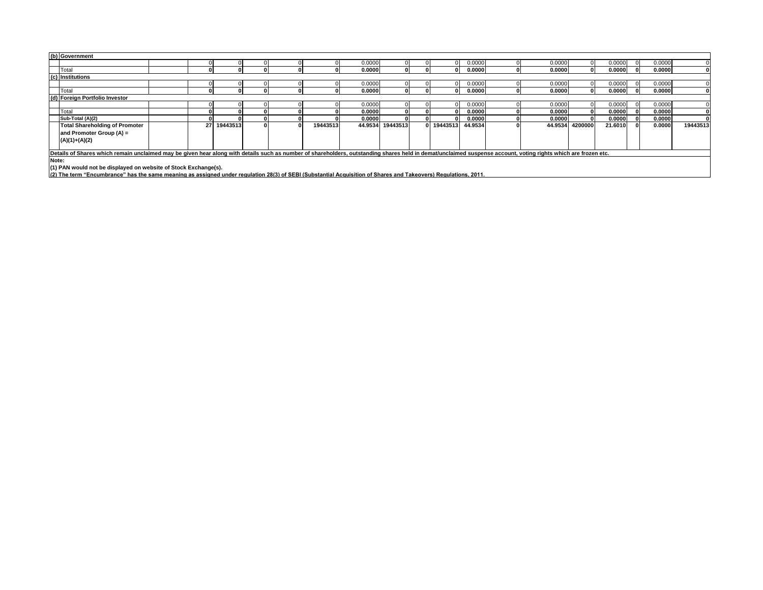| (b) Government                                                                                                                                                                                                 |                                       |  |    |          |  |  |          |        |                  |  |          |         |  |         |         |         |        |          |
|----------------------------------------------------------------------------------------------------------------------------------------------------------------------------------------------------------------|---------------------------------------|--|----|----------|--|--|----------|--------|------------------|--|----------|---------|--|---------|---------|---------|--------|----------|
|                                                                                                                                                                                                                |                                       |  |    |          |  |  |          | 0.0000 |                  |  | 0        | 0.0000  |  | 0.0000  |         | 0.0000  | 0.0000 |          |
| Total                                                                                                                                                                                                          |                                       |  |    |          |  |  |          | 0.0000 |                  |  | 01       | 0.0000  |  | 0.0000  |         | 0.0000  | 0.0000 |          |
| (c) Institutions                                                                                                                                                                                               |                                       |  |    |          |  |  |          |        |                  |  |          |         |  |         |         |         |        |          |
|                                                                                                                                                                                                                |                                       |  |    |          |  |  |          | 0.0000 |                  |  |          | 0.0000  |  | 0.0000  |         | 0.0000  | 0.0000 |          |
| <b>Total</b>                                                                                                                                                                                                   |                                       |  |    |          |  |  |          | 0.0000 |                  |  | 01       | 0.0000  |  | 0.0000  | 01      | 0.0000  | 0.0000 |          |
|                                                                                                                                                                                                                | (d) Foreign Portfolio Investor        |  |    |          |  |  |          |        |                  |  |          |         |  |         |         |         |        |          |
|                                                                                                                                                                                                                |                                       |  |    |          |  |  |          | 0.0000 |                  |  |          | 0.0000  |  | 0.0000  |         | 0.0000  | 0.0000 |          |
| Total                                                                                                                                                                                                          |                                       |  |    |          |  |  |          | 0.0000 |                  |  | 01       | 0.0000  |  | 0.0000  |         | 0.0000  | 0.0000 |          |
| Sub-Total (A)(2)                                                                                                                                                                                               |                                       |  |    |          |  |  |          | 0.0000 |                  |  | 01       | 0.0000  |  | 0.0000  |         | 0.0000  | 0.0000 |          |
|                                                                                                                                                                                                                | <b>Total Shareholding of Promoter</b> |  | 27 | 19443513 |  |  | 19443513 |        | 44.9534 19443513 |  | 19443513 | 44.9534 |  | 44.9534 | 4200000 | 21.6010 | 0.0000 | 19443513 |
| and Promoter Group (A) =                                                                                                                                                                                       |                                       |  |    |          |  |  |          |        |                  |  |          |         |  |         |         |         |        |          |
| $(A)(1)+(A)(2)$                                                                                                                                                                                                |                                       |  |    |          |  |  |          |        |                  |  |          |         |  |         |         |         |        |          |
|                                                                                                                                                                                                                |                                       |  |    |          |  |  |          |        |                  |  |          |         |  |         |         |         |        |          |
| Details of Shares which remain unclaimed may be given hear along with details such as number of shareholders, outstanding shares held in demat/unclaimed suspense account, voting rights which are frozen etc. |                                       |  |    |          |  |  |          |        |                  |  |          |         |  |         |         |         |        |          |
| Note:                                                                                                                                                                                                          |                                       |  |    |          |  |  |          |        |                  |  |          |         |  |         |         |         |        |          |
| (1) PAN would not be displayed on website of Stock Exchange(s).                                                                                                                                                |                                       |  |    |          |  |  |          |        |                  |  |          |         |  |         |         |         |        |          |
| (2) The term "Encumbrance" has the same meaning as assigned under regulation 28(3) of SEBI (Substantial Acquisition of Shares and Takeovers) Regulations, 2011.                                                |                                       |  |    |          |  |  |          |        |                  |  |          |         |  |         |         |         |        |          |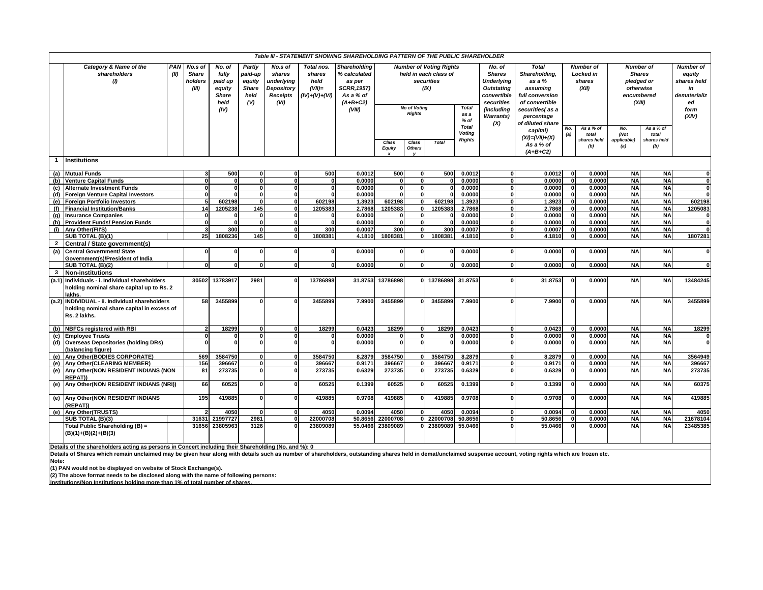| Table III - STATEMENT SHOWING SHAREHOLDING PATTERN OF THE PUBLIC SHAREHOLDER<br>Category & Name of the<br><b>PAN</b><br>No.s of<br>No. of<br>Partly<br>No.s of<br>Total nos.<br><b>Shareholding</b><br><b>Number of Voting Rights</b><br><b>Total</b><br><b>Number of</b><br><b>Number of</b><br>No. of |                                                                                                                                                                                                                |                                                                                                                                                                                                                                                   |                |                 |                                                                                   |              |                                      |                                             |                                                |                                                                                                                                |                                                                                                                                           |                                                         |                                                 |                                                                                      |                             |                                                                                        |                             |              |
|---------------------------------------------------------------------------------------------------------------------------------------------------------------------------------------------------------------------------------------------------------------------------------------------------------|----------------------------------------------------------------------------------------------------------------------------------------------------------------------------------------------------------------|---------------------------------------------------------------------------------------------------------------------------------------------------------------------------------------------------------------------------------------------------|----------------|-----------------|-----------------------------------------------------------------------------------|--------------|--------------------------------------|---------------------------------------------|------------------------------------------------|--------------------------------------------------------------------------------------------------------------------------------|-------------------------------------------------------------------------------------------------------------------------------------------|---------------------------------------------------------|-------------------------------------------------|--------------------------------------------------------------------------------------|-----------------------------|----------------------------------------------------------------------------------------|-----------------------------|--------------|
|                                                                                                                                                                                                                                                                                                         | shareholders<br>(II)<br>$\mathcal{U}$                                                                                                                                                                          | <b>Share</b><br>fully<br>paid-up<br>shares<br>shares<br>holders<br>paid up<br>equity<br>underlying<br>held<br><b>Share</b><br>$(VII)=$<br>(III)<br>equity<br>Depository<br>held<br><b>Receipts</b><br><b>Share</b><br>(V)<br>(VI)<br>held<br>(IV) |                | $(IV)+(V)+(VI)$ | % calculated<br>as per<br><b>SCRR, 1957)</b><br>As a % of<br>$(A+B+C2)$<br>(VIII) |              | <b>No of Voting</b><br><b>Rights</b> | held in each class of<br>securities<br>(IX) | <b>Total</b><br>as a<br>$%$ of<br><b>Total</b> | <b>Shares</b><br><b>Underlying</b><br><b>Outstating</b><br>convertible<br>securities<br>(including<br><b>Warrants</b> )<br>(X) | Shareholding,<br>as a %<br>assuming<br>full conversion<br>of convertible<br>securities(as a<br>percentage<br>of diluted share<br>capital) | <b>Locked</b> in<br>shares<br>(XII)<br>As a % of<br>No. |                                                 | <b>Shares</b><br>pledged or<br>otherwise<br>encumbered<br>(XIII)<br>As a % of<br>No. |                             | <b>Number of</b><br>equity<br>shares held<br>in<br>dematerializ<br>ed<br>form<br>(XIV) |                             |              |
|                                                                                                                                                                                                                                                                                                         |                                                                                                                                                                                                                |                                                                                                                                                                                                                                                   |                |                 |                                                                                   |              |                                      | Class<br><b>Equity</b>                      | Class<br><b>Others</b>                         | <b>Total</b>                                                                                                                   | Voting<br><b>Rights</b>                                                                                                                   |                                                         | $(XI) = (VII) + (X)$<br>As a % of<br>$(A+B+C2)$ | (a)                                                                                  | total<br>shares held<br>(b) | (Not<br>applicable)<br>(a)                                                             | total<br>shares held<br>(b) |              |
| $\mathbf{1}$                                                                                                                                                                                                                                                                                            | <b>Institutions</b>                                                                                                                                                                                            |                                                                                                                                                                                                                                                   |                |                 |                                                                                   |              |                                      |                                             |                                                |                                                                                                                                |                                                                                                                                           |                                                         |                                                 |                                                                                      |                             |                                                                                        |                             |              |
|                                                                                                                                                                                                                                                                                                         | (a) Mutual Funds                                                                                                                                                                                               |                                                                                                                                                                                                                                                   | 500            | 0               |                                                                                   | 500          | 0.0012                               | 500                                         | $\mathbf 0$                                    | 500                                                                                                                            | 0.0012                                                                                                                                    | $\Omega$                                                | 0.0012                                          | $\mathbf{0}$                                                                         | 0.0000                      | <b>NA</b>                                                                              | <b>NA</b>                   |              |
| (b)                                                                                                                                                                                                                                                                                                     | <b>Venture Capital Funds</b>                                                                                                                                                                                   | $\mathbf{0}$                                                                                                                                                                                                                                      | 0              | 0               | $\Omega$                                                                          | $\mathbf{0}$ | 0.0000                               | $\Omega$                                    | o                                              | $\mathbf{0}$                                                                                                                   | 0.0000                                                                                                                                    | $\mathbf{0}$                                            | 0.0000                                          | $\mathbf{0}$                                                                         | 0.0000                      | <b>NA</b>                                                                              | <b>NA</b>                   | $\mathbf 0$  |
|                                                                                                                                                                                                                                                                                                         | (c) Alternate Investment Funds                                                                                                                                                                                 | $\Omega$                                                                                                                                                                                                                                          | 0              | 0               | $\Omega$                                                                          | 0            | 0.0000                               | $\Omega$                                    | 0                                              | <sup>0</sup>                                                                                                                   | 0.0000                                                                                                                                    | $\bf{0}$                                                | 0.0000                                          | $\mathbf{0}$                                                                         | 0.0000                      | <b>NA</b>                                                                              | <b>NA</b>                   | $\mathbf 0$  |
|                                                                                                                                                                                                                                                                                                         | (d) Foreign Venture Capital Investors                                                                                                                                                                          | $\mathbf{0}$                                                                                                                                                                                                                                      | O              | $\mathbf{0}$    | $\Omega$                                                                          | 0            | 0.0000                               | $\Omega$                                    | 0                                              | ΩI                                                                                                                             | 0.0000                                                                                                                                    | $\Omega$                                                | 0.0000                                          | 0                                                                                    | 0.0000                      | <b>NA</b>                                                                              | <b>NA</b>                   | $\mathbf{0}$ |
|                                                                                                                                                                                                                                                                                                         | (e) Foreign Portfolio Investors                                                                                                                                                                                | 5                                                                                                                                                                                                                                                 | 602198         | $\mathbf{0}$    | n                                                                                 | 602198       | 1.3923                               | 602198                                      | $\mathbf{0}$                                   | 602198                                                                                                                         | 1.3923                                                                                                                                    | $\Omega$                                                | 1.3923                                          | $\mathbf{0}$                                                                         | 0.0000                      | <b>NA</b>                                                                              | <b>NA</b>                   | 602198       |
|                                                                                                                                                                                                                                                                                                         | (f) Financial Institution/Banks                                                                                                                                                                                | 14                                                                                                                                                                                                                                                | 1205238        | 145             | $\Omega$                                                                          | 1205383      | 2.7868                               | 1205383                                     | $\mathbf{0}$                                   | 1205383                                                                                                                        | 2.7868                                                                                                                                    | $\Omega$<br>$\Omega$                                    | 2.7868                                          | $\mathbf{0}$                                                                         | 0.0000                      | <b>NA</b>                                                                              | <b>NA</b>                   | 1205083      |
|                                                                                                                                                                                                                                                                                                         | (g) Insurance Companies                                                                                                                                                                                        | $\Omega$<br>$\mathbf{0}$                                                                                                                                                                                                                          | 0              | $\Omega$        | $\Omega$<br>$\mathbf{0}$                                                          | U<br>0       | 0.0000<br>0.0000                     | $\mathbf{0}$                                | $\mathbf 0$<br>0                               | U                                                                                                                              | 0.0000<br>0.0000                                                                                                                          | $\Omega$                                                | 0.0000<br>0.0000                                | $\overline{\mathbf{0}}$<br>$\mathbf{0}$                                              | 0.0000<br>0.0000            | <b>NA</b><br><b>NA</b>                                                                 | <b>NA</b><br><b>NA</b>      | $\mathbf{0}$ |
|                                                                                                                                                                                                                                                                                                         | (h) Provident Funds/ Pension Funds<br>(i) Any Other (FII'S)                                                                                                                                                    |                                                                                                                                                                                                                                                   | 300            | <sup>n</sup>    | <sup>n</sup>                                                                      | 300          | 0.0007                               | 300                                         | $\overline{0}$                                 | 300                                                                                                                            | 0.0007                                                                                                                                    | $\Omega$                                                | 0.0007                                          | $\overline{0}$                                                                       | 0.0000                      | <b>NA</b>                                                                              | <b>NA</b>                   | $\mathbf{0}$ |
|                                                                                                                                                                                                                                                                                                         | SUB TOTAL (B)(1)                                                                                                                                                                                               | 25                                                                                                                                                                                                                                                | 1808236        | 145             | $\mathbf{0}$                                                                      | 1808381      | 4.1810                               | 1808381                                     | 0 <sup>l</sup>                                 | 1808381                                                                                                                        | 4.1810                                                                                                                                    | 0                                                       | 4.1810                                          | $\mathbf{0}$                                                                         | 0.0000                      | <b>NA</b>                                                                              | <b>NA</b>                   | 1807281      |
| $\overline{2}$                                                                                                                                                                                                                                                                                          | Central / State government(s)                                                                                                                                                                                  |                                                                                                                                                                                                                                                   |                |                 |                                                                                   |              |                                      |                                             |                                                |                                                                                                                                |                                                                                                                                           |                                                         |                                                 |                                                                                      |                             |                                                                                        |                             |              |
| (a)                                                                                                                                                                                                                                                                                                     | <b>Central Government/ State</b><br>Government(s)/President of India                                                                                                                                           |                                                                                                                                                                                                                                                   | $\Omega$       | O               | $\Omega$                                                                          | 0            | 0.0000                               | 0                                           | $\mathbf 0$                                    |                                                                                                                                | 0.0000                                                                                                                                    | $\mathbf 0$                                             | 0.0000                                          | $\mathbf{0}$                                                                         | 0.0000                      | <b>NA</b>                                                                              | <b>NA</b>                   | 0            |
|                                                                                                                                                                                                                                                                                                         | SUB TOTAL (B)(2)                                                                                                                                                                                               | $\Omega$                                                                                                                                                                                                                                          | $\mathbf{0}$   | o۱              | 0                                                                                 | 0            | 0.0000                               | $\Omega$                                    | $\mathbf{0}$                                   | O                                                                                                                              | 0.0000                                                                                                                                    | 0                                                       | 0.0000                                          | $\mathbf{0}$                                                                         | 0.0000                      | <b>NA</b>                                                                              | <b>NA</b>                   | $\mathbf{0}$ |
| $\mathbf{3}$                                                                                                                                                                                                                                                                                            | <b>Non-institutions</b>                                                                                                                                                                                        |                                                                                                                                                                                                                                                   |                |                 |                                                                                   |              |                                      |                                             |                                                |                                                                                                                                |                                                                                                                                           |                                                         |                                                 |                                                                                      |                             |                                                                                        |                             |              |
|                                                                                                                                                                                                                                                                                                         | (a.1) Individuals - i. Individual shareholders<br>holding nominal share capital up to Rs. 2<br>lakhs.                                                                                                          | 30502                                                                                                                                                                                                                                             | 13783917       | 2981            | $\Omega$                                                                          | 13786898     |                                      | 31.8753 13786898                            |                                                | 0 13786898                                                                                                                     | 31.8753                                                                                                                                   | 0                                                       | 31.8753                                         | $\mathbf{0}$                                                                         | 0.0000                      | <b>NA</b>                                                                              | <b>NA</b>                   | 13484245     |
|                                                                                                                                                                                                                                                                                                         | (a.2) INDIVIDUAL - ii. Individual shareholders<br>holding nominal share capital in excess of<br>Rs. 2 lakhs.                                                                                                   | 58                                                                                                                                                                                                                                                | 3455899        |                 |                                                                                   | 3455899      | 7.9900                               | 3455899                                     |                                                | 3455899                                                                                                                        | 7.9900                                                                                                                                    |                                                         | 7.9900                                          |                                                                                      | 0.0000                      | <b>NA</b>                                                                              | <b>NA</b>                   | 3455899      |
|                                                                                                                                                                                                                                                                                                         | (b) NBFCs registered with RBI                                                                                                                                                                                  | 2                                                                                                                                                                                                                                                 | 18299          |                 |                                                                                   | 18299        | 0.0423                               | 18299                                       | $\mathbf{0}$                                   | 18299                                                                                                                          | 0.0423                                                                                                                                    | $\Omega$                                                | 0.0423                                          | $\mathbf{0}$                                                                         | 0.0000                      | <b>NA</b>                                                                              | <b>NA</b>                   | 18299        |
|                                                                                                                                                                                                                                                                                                         | (c) Employee Trusts                                                                                                                                                                                            | $\Omega$                                                                                                                                                                                                                                          | $\Omega$       | $\mathbf{0}$    | $\Omega$                                                                          | $\mathbf{0}$ | 0.0000                               | $\Omega$                                    | 0                                              |                                                                                                                                | 0.0000                                                                                                                                    | $\Omega$                                                | 0.0000                                          | $\mathbf{0}$                                                                         | 0.0000                      | <b>NA</b>                                                                              | <b>NA</b>                   | $\mathbf 0$  |
| (d)                                                                                                                                                                                                                                                                                                     | <b>Overseas Depositories (holding DRs)</b><br>(balancing figure)                                                                                                                                               |                                                                                                                                                                                                                                                   |                | <b>n</b>        |                                                                                   | O            | 0.0000                               | $\Omega$                                    | $\Omega$                                       |                                                                                                                                | 0.0000                                                                                                                                    | O                                                       | 0.0000                                          | $\mathbf{0}$                                                                         | 0.0000                      | <b>NA</b>                                                                              | <b>NA</b>                   | $\Omega$     |
|                                                                                                                                                                                                                                                                                                         | (e) Any Other (BODIES CORPORATE)                                                                                                                                                                               | 569                                                                                                                                                                                                                                               | 3584750        | O.              |                                                                                   | 3584750      | 8.2879                               | 3584750                                     | 0                                              | 3584750                                                                                                                        | 8.2879                                                                                                                                    | $\Omega$                                                | 8.2879                                          | $\mathbf{0}$                                                                         | 0.0000                      | <b>NA</b>                                                                              | <b>NA</b>                   | 3564949      |
|                                                                                                                                                                                                                                                                                                         | (e) Any Other (CLEARING MEMBER)                                                                                                                                                                                | 156                                                                                                                                                                                                                                               | 396667         | οl              | $\mathbf{0}$                                                                      | 396667       | 0.9171                               | 396667                                      | 0                                              | 396667                                                                                                                         | 0.9171                                                                                                                                    | $\mathbf{0}$                                            | 0.9171                                          | $\mathbf{0}$                                                                         | 0.0000                      | <b>NA</b>                                                                              | <b>NA</b>                   | 396667       |
|                                                                                                                                                                                                                                                                                                         | (e) Any Other (NON RESIDENT INDIANS (NON<br>REPAT))                                                                                                                                                            | 81                                                                                                                                                                                                                                                | 273735         | 0               |                                                                                   | 273735       | 0.6329                               | 273735                                      |                                                | 273735                                                                                                                         | 0.6329                                                                                                                                    | 0                                                       | 0.6329                                          | $\mathbf{0}$                                                                         | 0.0000                      | <b>NA</b>                                                                              | <b>NA</b>                   | 273735       |
|                                                                                                                                                                                                                                                                                                         | (e) Any Other (NON RESIDENT INDIANS (NRI))                                                                                                                                                                     | 66                                                                                                                                                                                                                                                | 60525          | 0I              | n                                                                                 | 60525        | 0.1399                               | 60525                                       | 0                                              | 60525                                                                                                                          | 0.1399                                                                                                                                    | $\Omega$                                                | 0.1399                                          | $\mathbf{0}$                                                                         | 0.0000                      | <b>NA</b>                                                                              | <b>NA</b>                   | 60375        |
|                                                                                                                                                                                                                                                                                                         | (e) Any Other (NON RESIDENT INDIANS<br>(REPAT))                                                                                                                                                                | 195                                                                                                                                                                                                                                               | 419885         | $\Omega$        | n                                                                                 | 419885       | 0.9708                               | 419885                                      | $\Omega$                                       | 419885                                                                                                                         | 0.9708                                                                                                                                    | $\Omega$                                                | 0.9708                                          | $\mathbf{0}$                                                                         | 0.0000                      | <b>NA</b>                                                                              | <b>NA</b>                   | 419885       |
|                                                                                                                                                                                                                                                                                                         | (e) Any Other(TRUSTS)                                                                                                                                                                                          |                                                                                                                                                                                                                                                   | 4050           | $\mathbf{0}$    |                                                                                   | 4050         | 0.0094                               | 4050                                        | $\mathbf{0}$                                   | 4050                                                                                                                           | 0.0094                                                                                                                                    | $\Omega$                                                | 0.0094                                          | $\mathbf{0}$                                                                         | 0.0000                      | <b>NA</b>                                                                              | <b>NA</b>                   | 4050         |
|                                                                                                                                                                                                                                                                                                         | SUB TOTAL (B)(3)                                                                                                                                                                                               | 31631                                                                                                                                                                                                                                             | 21997727       | 2981            |                                                                                   | 22000708     | 50.8656                              | 22000708                                    |                                                | 0 22000708                                                                                                                     | 50.8656                                                                                                                                   | $\Omega$                                                | 50.8656                                         | $\Omega$                                                                             | 0.0000                      | <b>NA</b>                                                                              | <b>NA</b>                   | 21678104     |
|                                                                                                                                                                                                                                                                                                         | Total Public Shareholding (B) =<br>$(B)(1)+(B)(2)+(B)(3)$                                                                                                                                                      |                                                                                                                                                                                                                                                   | 31656 23805963 | 3126            |                                                                                   | 23809089     |                                      | 55.0466 23809089                            | <sup>0</sup>                                   | 23809089                                                                                                                       | 55.0466                                                                                                                                   | $\Omega$                                                | 55.0466                                         | $\Omega$                                                                             | 0.0000                      | <b>NA</b>                                                                              | <b>NA</b>                   | 23485385     |
|                                                                                                                                                                                                                                                                                                         | Details of the shareholders acting as persons in Concert including their Shareholding (No. and %): 0                                                                                                           |                                                                                                                                                                                                                                                   |                |                 |                                                                                   |              |                                      |                                             |                                                |                                                                                                                                |                                                                                                                                           |                                                         |                                                 |                                                                                      |                             |                                                                                        |                             |              |
|                                                                                                                                                                                                                                                                                                         | Details of Shares which remain unclaimed may be given hear along with details such as number of shareholders, outstanding shares held in demat/unclaimed suspense account, voting rights which are frozen etc. |                                                                                                                                                                                                                                                   |                |                 |                                                                                   |              |                                      |                                             |                                                |                                                                                                                                |                                                                                                                                           |                                                         |                                                 |                                                                                      |                             |                                                                                        |                             |              |
| Note:                                                                                                                                                                                                                                                                                                   |                                                                                                                                                                                                                |                                                                                                                                                                                                                                                   |                |                 |                                                                                   |              |                                      |                                             |                                                |                                                                                                                                |                                                                                                                                           |                                                         |                                                 |                                                                                      |                             |                                                                                        |                             |              |

(1) PAN would not be displayed on website of Stock Exchange(s).<br>(2) The above format needs to be disclosed along with the name of following persons:<br>Institutions/Non Institutions holding more than 1% of total number of sha